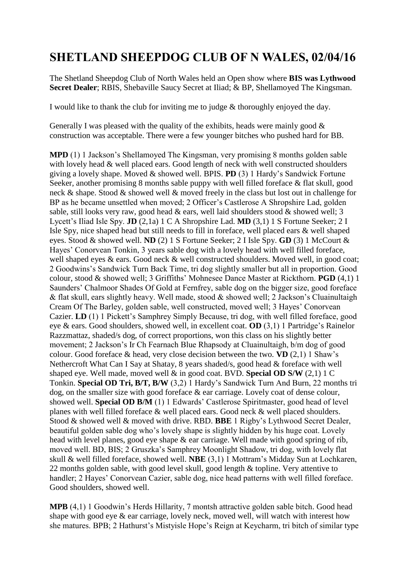## **SHETLAND SHEEPDOG CLUB OF N WALES, 02/04/16**

The Shetland Sheepdog Club of North Wales held an Open show where **BIS was Lythwood Secret Dealer**; RBIS, Shebaville Saucy Secret at Iliad; & BP, Shellamoyed The Kingsman.

I would like to thank the club for inviting me to judge & thoroughly enjoyed the day.

Generally I was pleased with the quality of the exhibits, heads were mainly good  $\&$ construction was acceptable. There were a few younger bitches who pushed hard for BB.

**MPD** (1) 1 Jackson's Shellamoved The Kingsman, very promising 8 months golden sable with lovely head & well placed ears. Good length of neck with well constructed shoulders giving a lovely shape. Moved & showed well. BPIS. **PD** (3) 1 Hardy's Sandwick Fortune Seeker, another promising 8 months sable puppy with well filled foreface & flat skull, good neck & shape. Stood & showed well & moved freely in the class but lost out in challenge for BP as he became unsettled when moved; 2 Officer's Castlerose A Shropshire Lad, golden sable, still looks very raw, good head & ears, well laid shoulders stood & showed well; 3 Lycett's Iliad Isle Spy. **JD** (2,1a) 1 C A Shropshire Lad. **MD** (3,1) 1 S Fortune Seeker; 2 I Isle Spy, nice shaped head but still needs to fill in foreface, well placed ears & well shaped eyes. Stood & showed well. **ND** (2) 1 S Fortune Seeker; 2 I Isle Spy. **GD** (3) 1 McCourt & Hayes' Conorvean Tonkin, 3 years sable dog with a lovely head with well filled foreface, well shaped eyes & ears. Good neck & well constructed shoulders. Moved well, in good coat; 2 Goodwins's Sandwick Turn Back Time, tri dog slightly smaller but all in proportion. Good colour, stood & showed well; 3 Griffiths' Mohnesee Dance Master at Rickthorn. **PGD** (4,1) 1 Saunders' Chalmoor Shades Of Gold at Fernfrey, sable dog on the bigger size, good foreface & flat skull, ears slightly heavy. Well made, stood & showed well; 2 Jackson's Cluainultaigh Cream Of The Barley, golden sable, well constructed, moved well; 3 Hayes' Conorvean Cazier. **LD** (1) 1 Pickett's Samphrey Simply Because, tri dog, with well filled foreface, good eye & ears. Good shoulders, showed well, in excellent coat. **OD** (3,1) 1 Partridge's Rainelor Razzmattaz, shaded/s dog, of correct proportions, won this class on his slightly better movement; 2 Jackson's Ir Ch Fearnach Blue Rhapsody at Cluainultaigh, b/m dog of good colour. Good foreface & head, very close decision between the two. **VD** (2,1) 1 Shaw's Nethercroft What Can I Say at Shatay, 8 years shaded/s, good head & foreface with well shaped eye. Well made, moved well & in good coat. BVD. **Special OD S/W** (2,1) 1 C Tonkin. **Special OD Tri, B/T, B/W** (3,2) 1 Hardy's Sandwick Turn And Burn, 22 months tri dog, on the smaller size with good foreface & ear carriage. Lovely coat of dense colour, showed well. **Special OD B/M** (1) 1 Edwards' Castlerose Spiritmaster, good head of level planes with well filled foreface & well placed ears. Good neck & well placed shoulders. Stood & showed well & moved with drive. RBD. **BBE** 1 Rigby's Lythwood Secret Dealer, beautiful golden sable dog who's lovely shape is slightly hidden by his huge coat. Lovely head with level planes, good eye shape & ear carriage. Well made with good spring of rib, moved well. BD, BIS; 2 Gruszka's Samphrey Moonlight Shadow, tri dog, with lovely flat skull & well filled foreface, showed well. **NBE** (3,1) 1 Mottram's Midday Sun at Lochkaren, 22 months golden sable, with good level skull, good length & topline. Very attentive to handler; 2 Hayes' Conorvean Cazier, sable dog, nice head patterns with well filled foreface. Good shoulders, showed well.

**MPB** (4,1) 1 Goodwin's Herds Hillarity, 7 montsh attractive golden sable bitch. Good head shape with good eye & ear carriage, lovely neck, moved well, will watch with interest how she matures. BPB; 2 Hathurst's Mistyisle Hope's Reign at Keycharm, tri bitch of similar type